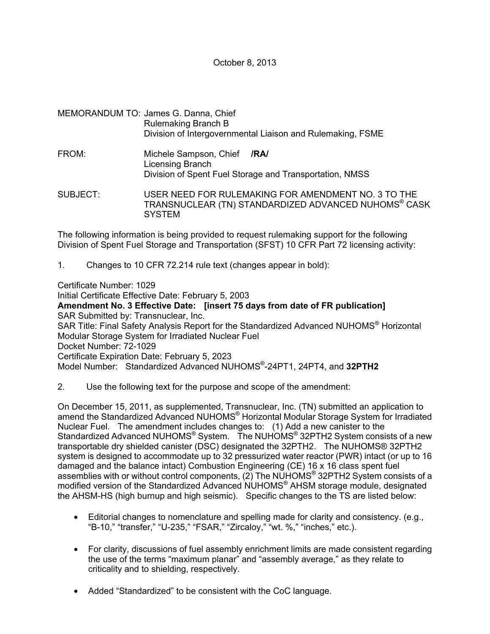## October 8, 2013

- MEMORANDUM TO: James G. Danna, Chief Rulemaking Branch B Division of Intergovernmental Liaison and Rulemaking, FSME
- FROM: Michele Sampson, Chief **/RA/** Licensing Branch Division of Spent Fuel Storage and Transportation, NMSS

SUBJECT: USER NEED FOR RULEMAKING FOR AMENDMENT NO. 3 TO THE TRANSNUCLEAR (TN) STANDARDIZED ADVANCED NUHOMS® CASK SYSTEM

The following information is being provided to request rulemaking support for the following Division of Spent Fuel Storage and Transportation (SFST) 10 CFR Part 72 licensing activity:

1. Changes to 10 CFR 72.214 rule text (changes appear in bold):

Certificate Number: 1029 Initial Certificate Effective Date: February 5, 2003 **Amendment No. 3 Effective Date: [insert 75 days from date of FR publication]** SAR Submitted by: Transnuclear, Inc. SAR Title: Final Safety Analysis Report for the Standardized Advanced NUHOMS® Horizontal Modular Storage System for Irradiated Nuclear Fuel Docket Number: 72-1029

Certificate Expiration Date: February 5, 2023

Model Number: Standardized Advanced NUHOMS®-24PT1, 24PT4, and **32PTH2**

2. Use the following text for the purpose and scope of the amendment:

On December 15, 2011, as supplemented, Transnuclear, Inc. (TN) submitted an application to amend the Standardized Advanced NUHOMS® Horizontal Modular Storage System for Irradiated Nuclear Fuel. The amendment includes changes to: (1) Add a new canister to the Standardized Advanced NUHOMS® System. The NUHOMS® 32PTH2 System consists of a new transportable dry shielded canister (DSC) designated the 32PTH2. The NUHOMS® 32PTH2 system is designed to accommodate up to 32 pressurized water reactor (PWR) intact (or up to 16 damaged and the balance intact) Combustion Engineering (CE) 16 x 16 class spent fuel assemblies with or without control components, (2) The NUHOMS® 32PTH2 System consists of a modified version of the Standardized Advanced NUHOMS® AHSM storage module, designated the AHSM-HS (high burnup and high seismic). Specific changes to the TS are listed below:

- Editorial changes to nomenclature and spelling made for clarity and consistency. (e.g., "B-10," "transfer," "U-235," "FSAR," "Zircaloy," "wt. %," "inches," etc.).
- For clarity, discussions of fuel assembly enrichment limits are made consistent regarding the use of the terms "maximum planar" and "assembly average," as they relate to criticality and to shielding, respectively.
- Added "Standardized" to be consistent with the CoC language.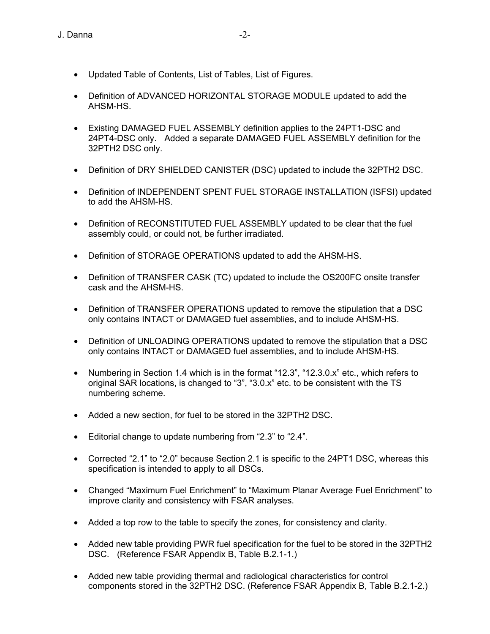- Updated Table of Contents, List of Tables, List of Figures.
- Definition of ADVANCED HORIZONTAL STORAGE MODULE updated to add the AHSM-HS.
- Existing DAMAGED FUEL ASSEMBLY definition applies to the 24PT1-DSC and 24PT4-DSC only. Added a separate DAMAGED FUEL ASSEMBLY definition for the 32PTH2 DSC only.
- Definition of DRY SHIELDED CANISTER (DSC) updated to include the 32PTH2 DSC.
- Definition of INDEPENDENT SPENT FUEL STORAGE INSTALLATION (ISFSI) updated to add the AHSM-HS.
- Definition of RECONSTITUTED FUEL ASSEMBLY updated to be clear that the fuel assembly could, or could not, be further irradiated.
- Definition of STORAGE OPERATIONS updated to add the AHSM-HS.
- Definition of TRANSFER CASK (TC) updated to include the OS200FC onsite transfer cask and the AHSM-HS.
- Definition of TRANSFER OPERATIONS updated to remove the stipulation that a DSC only contains INTACT or DAMAGED fuel assemblies, and to include AHSM-HS.
- Definition of UNLOADING OPERATIONS updated to remove the stipulation that a DSC only contains INTACT or DAMAGED fuel assemblies, and to include AHSM-HS.
- Numbering in Section 1.4 which is in the format "12.3", "12.3.0.x" etc., which refers to original SAR locations, is changed to "3", "3.0.x" etc. to be consistent with the TS numbering scheme.
- Added a new section, for fuel to be stored in the 32PTH2 DSC.
- Editorial change to update numbering from "2.3" to "2.4".
- Corrected "2.1" to "2.0" because Section 2.1 is specific to the 24PT1 DSC, whereas this specification is intended to apply to all DSCs.
- Changed "Maximum Fuel Enrichment" to "Maximum Planar Average Fuel Enrichment" to improve clarity and consistency with FSAR analyses.
- Added a top row to the table to specify the zones, for consistency and clarity.
- Added new table providing PWR fuel specification for the fuel to be stored in the 32PTH2 DSC. (Reference FSAR Appendix B, Table B.2.1-1.)
- Added new table providing thermal and radiological characteristics for control components stored in the 32PTH2 DSC. (Reference FSAR Appendix B, Table B.2.1-2.)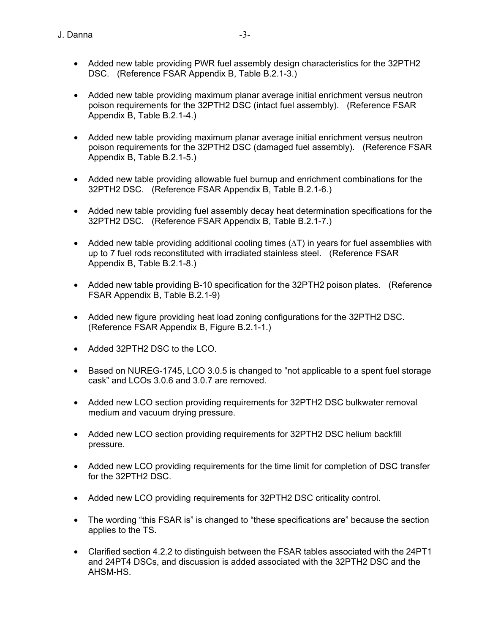- Added new table providing PWR fuel assembly design characteristics for the 32PTH2 DSC. (Reference FSAR Appendix B, Table B.2.1-3.)
- Added new table providing maximum planar average initial enrichment versus neutron poison requirements for the 32PTH2 DSC (intact fuel assembly). (Reference FSAR Appendix B, Table B.2.1-4.)
- Added new table providing maximum planar average initial enrichment versus neutron poison requirements for the 32PTH2 DSC (damaged fuel assembly). (Reference FSAR Appendix B, Table B.2.1-5.)
- Added new table providing allowable fuel burnup and enrichment combinations for the 32PTH2 DSC. (Reference FSAR Appendix B, Table B.2.1-6.)
- Added new table providing fuel assembly decay heat determination specifications for the 32PTH2 DSC. (Reference FSAR Appendix B, Table B.2.1-7.)
- Added new table providing additional cooling times (∆T) in years for fuel assemblies with up to 7 fuel rods reconstituted with irradiated stainless steel. (Reference FSAR Appendix B, Table B.2.1-8.)
- Added new table providing B-10 specification for the 32PTH2 poison plates. (Reference FSAR Appendix B, Table B.2.1-9)
- Added new figure providing heat load zoning configurations for the 32PTH2 DSC. (Reference FSAR Appendix B, Figure B.2.1-1.)
- Added 32PTH2 DSC to the LCO.
- Based on NUREG-1745, LCO 3.0.5 is changed to "not applicable to a spent fuel storage cask" and LCOs 3.0.6 and 3.0.7 are removed.
- Added new LCO section providing requirements for 32PTH2 DSC bulkwater removal medium and vacuum drying pressure.
- Added new LCO section providing requirements for 32PTH2 DSC helium backfill pressure.
- Added new LCO providing requirements for the time limit for completion of DSC transfer for the 32PTH2 DSC.
- Added new LCO providing requirements for 32PTH2 DSC criticality control.
- The wording "this FSAR is" is changed to "these specifications are" because the section applies to the TS.
- Clarified section 4.2.2 to distinguish between the FSAR tables associated with the 24PT1 and 24PT4 DSCs, and discussion is added associated with the 32PTH2 DSC and the AHSM-HS.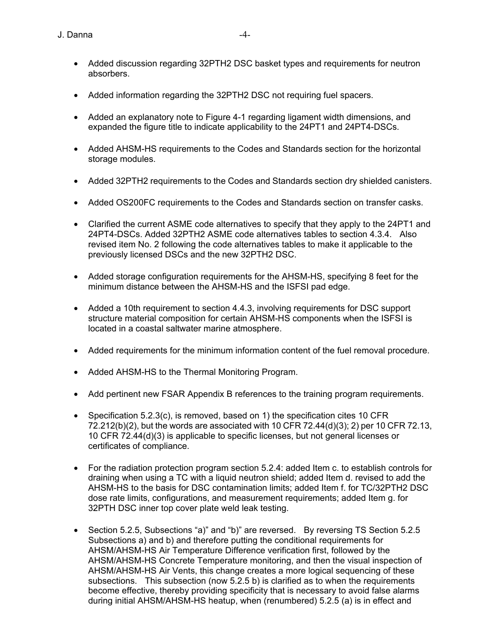- Added discussion regarding 32PTH2 DSC basket types and requirements for neutron absorbers.
- Added information regarding the 32PTH2 DSC not requiring fuel spacers.
- Added an explanatory note to Figure 4-1 regarding ligament width dimensions, and expanded the figure title to indicate applicability to the 24PT1 and 24PT4-DSCs.
- Added AHSM-HS requirements to the Codes and Standards section for the horizontal storage modules.
- Added 32PTH2 requirements to the Codes and Standards section dry shielded canisters.
- Added OS200FC requirements to the Codes and Standards section on transfer casks.
- Clarified the current ASME code alternatives to specify that they apply to the 24PT1 and 24PT4-DSCs. Added 32PTH2 ASME code alternatives tables to section 4.3.4. Also revised item No. 2 following the code alternatives tables to make it applicable to the previously licensed DSCs and the new 32PTH2 DSC.
- Added storage configuration requirements for the AHSM-HS, specifying 8 feet for the minimum distance between the AHSM-HS and the ISFSI pad edge.
- Added a 10th requirement to section 4.4.3, involving requirements for DSC support structure material composition for certain AHSM-HS components when the ISFSI is located in a coastal saltwater marine atmosphere.
- Added requirements for the minimum information content of the fuel removal procedure.
- Added AHSM-HS to the Thermal Monitoring Program.
- Add pertinent new FSAR Appendix B references to the training program requirements.
- Specification 5.2.3(c), is removed, based on 1) the specification cites 10 CFR 72.212(b)(2), but the words are associated with 10 CFR 72.44(d)(3); 2) per 10 CFR 72.13, 10 CFR 72.44(d)(3) is applicable to specific licenses, but not general licenses or certificates of compliance.
- For the radiation protection program section 5.2.4: added Item c. to establish controls for draining when using a TC with a liquid neutron shield; added Item d. revised to add the AHSM-HS to the basis for DSC contamination limits; added Item f. for TC/32PTH2 DSC dose rate limits, configurations, and measurement requirements; added Item g. for 32PTH DSC inner top cover plate weld leak testing.
- Section 5.2.5, Subsections "a)" and "b)" are reversed. By reversing TS Section 5.2.5 Subsections a) and b) and therefore putting the conditional requirements for AHSM/AHSM-HS Air Temperature Difference verification first, followed by the AHSM/AHSM-HS Concrete Temperature monitoring, and then the visual inspection of AHSM/AHSM-HS Air Vents, this change creates a more logical sequencing of these subsections. This subsection (now 5.2.5 b) is clarified as to when the requirements become effective, thereby providing specificity that is necessary to avoid false alarms during initial AHSM/AHSM-HS heatup, when (renumbered) 5.2.5 (a) is in effect and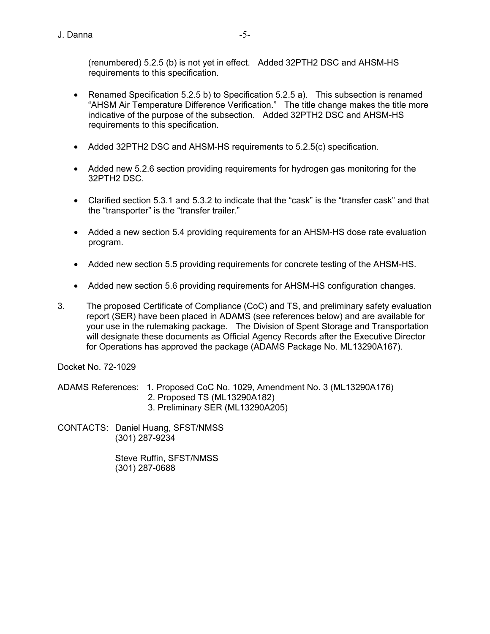(renumbered) 5.2.5 (b) is not yet in effect. Added 32PTH2 DSC and AHSM-HS requirements to this specification.

- Renamed Specification 5.2.5 b) to Specification 5.2.5 a). This subsection is renamed "AHSM Air Temperature Difference Verification." The title change makes the title more indicative of the purpose of the subsection. Added 32PTH2 DSC and AHSM-HS requirements to this specification.
- Added 32PTH2 DSC and AHSM-HS requirements to 5.2.5(c) specification.
- Added new 5.2.6 section providing requirements for hydrogen gas monitoring for the 32PTH2 DSC.
- Clarified section 5.3.1 and 5.3.2 to indicate that the "cask" is the "transfer cask" and that the "transporter" is the "transfer trailer."
- Added a new section 5.4 providing requirements for an AHSM-HS dose rate evaluation program.
- Added new section 5.5 providing requirements for concrete testing of the AHSM-HS.
- Added new section 5.6 providing requirements for AHSM-HS configuration changes.
- 3. The proposed Certificate of Compliance (CoC) and TS, and preliminary safety evaluation report (SER) have been placed in ADAMS (see references below) and are available for your use in the rulemaking package. The Division of Spent Storage and Transportation will designate these documents as Official Agency Records after the Executive Director for Operations has approved the package (ADAMS Package No. ML13290A167).

Docket No. 72-1029

ADAMS References: 1. Proposed CoC No. 1029, Amendment No. 3 (ML13290A176)

- 2. Proposed TS (ML13290A182)
- 3. Preliminary SER (ML13290A205)

CONTACTS: Daniel Huang, SFST/NMSS (301) 287-9234

> Steve Ruffin, SFST/NMSS (301) 287-0688